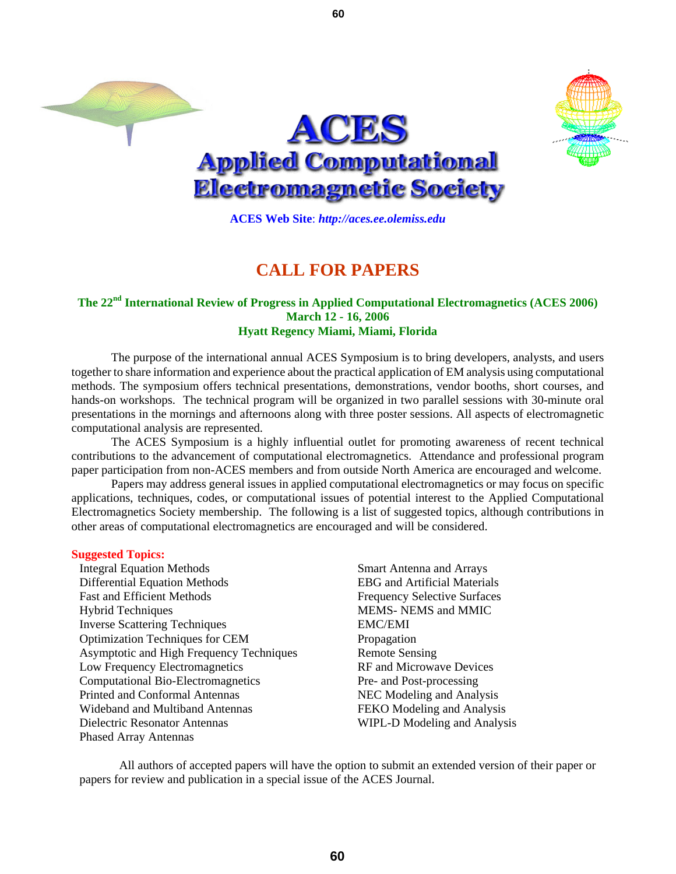

**60**

**ACES Web Site**: *[http://aces.ee.olemiss.edu](http://aces.ee.olemiss.edu/)*

# **CALL FOR PAPERS**

## **The 22nd International Review of Progress in Applied Computational Electromagnetics (ACES 2006) March 12 - 16, 2006 Hyatt Regency Miami, Miami, Florida**

The purpose of the international annual ACES Symposium is to bring developers, analysts, and users together to share information and experience about the practical application of EM analysis using computational methods. The symposium offers technical presentations, demonstrations, vendor booths, short courses, and hands-on workshops. The technical program will be organized in two parallel sessions with 30-minute oral presentations in the mornings and afternoons along with three poster sessions. All aspects of electromagnetic computational analysis are represented.

The ACES Symposium is a highly influential outlet for promoting awareness of recent technical contributions to the advancement of computational electromagnetics. Attendance and professional program paper participation from non-ACES members and from outside North America are encouraged and welcome.

Papers may address general issues in applied computational electromagnetics or may focus on specific applications, techniques, codes, or computational issues of potential interest to the Applied Computational Electromagnetics Society membership. The following is a list of suggested topics, although contributions in other areas of computational electromagnetics are encouraged and will be considered.

### **Suggested Topics:**

- Integral Equation Methods Differential Equation Methods Fast and Efficient Methods Hybrid Techniques Inverse Scattering Techniques Optimization Techniques for CEM Asymptotic and High Frequency Techniques Low Frequency Electromagnetics Computational Bio-Electromagnetics Printed and Conformal Antennas Wideband and Multiband Antennas Dielectric Resonator Antennas Phased Array Antennas
- Smart Antenna and Arrays EBG and Artificial Materials Frequency Selective Surfaces MEMS- NEMS and MMIC EMC/EMI Propagation Remote Sensing RF and Microwave Devices Pre- and Post-processing NEC Modeling and Analysis FEKO Modeling and Analysis WIPL-D Modeling and Analysis

All authors of accepted papers will have the option to submit an extended version of their paper or papers for review and publication in a special issue of the ACES Journal.